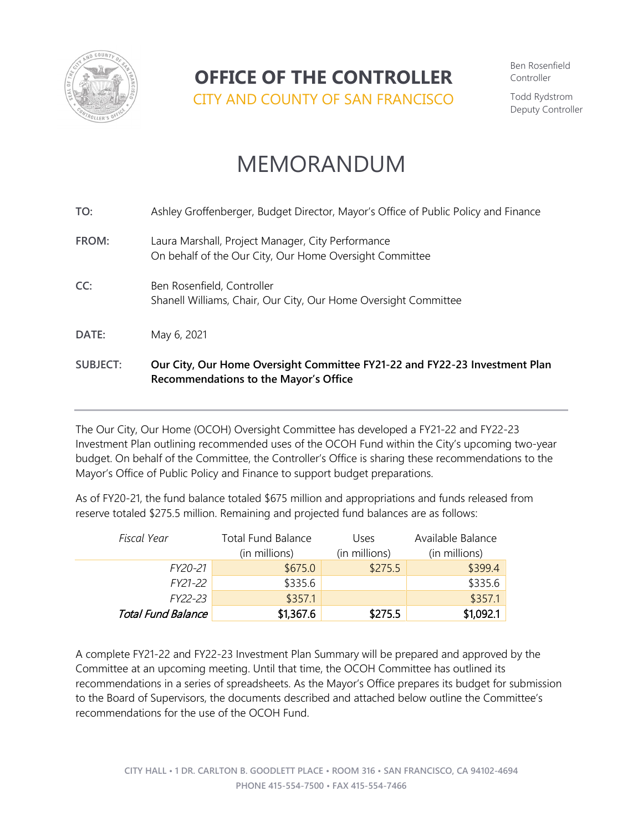

**OFFICE OF THE CONTROLLER**

CITY AND COUNTY OF SAN FRANCISCO

Ben Rosenfield Controller

Todd Rydstrom Deputy Controller

# MEMORANDUM

| <b>SUBJECT:</b> | Our City, Our Home Oversight Committee FY21-22 and FY22-23 Investment Plan<br>Recommendations to the Mayor's Office |
|-----------------|---------------------------------------------------------------------------------------------------------------------|
| DATE:           | May 6, 2021                                                                                                         |
| CC:             | Ben Rosenfield, Controller<br>Shanell Williams, Chair, Our City, Our Home Oversight Committee                       |
| FROM:           | Laura Marshall, Project Manager, City Performance<br>On behalf of the Our City, Our Home Oversight Committee        |
| TO:             | Ashley Groffenberger, Budget Director, Mayor's Office of Public Policy and Finance                                  |

The Our City, Our Home (OCOH) Oversight Committee has developed a FY21-22 and FY22-23 Investment Plan outlining recommended uses of the OCOH Fund within the City's upcoming two-year budget. On behalf of the Committee, the Controller's Office is sharing these recommendations to the Mayor's Office of Public Policy and Finance to support budget preparations.

As of FY20-21, the fund balance totaled \$675 million and appropriations and funds released from reserve totaled \$275.5 million. Remaining and projected fund balances are as follows:

| Fiscal Year               | <b>Total Fund Balance</b><br>(in millions) | Uses<br>(in millions) | Available Balance<br>(in millions) |
|---------------------------|--------------------------------------------|-----------------------|------------------------------------|
|                           |                                            |                       |                                    |
| FY20-21                   | \$675.0                                    | \$275.5               | \$399.4                            |
| FY21-22                   | \$335.6                                    |                       | \$335.6                            |
| FY22-23                   | \$357.1                                    |                       | \$357.1                            |
| <b>Total Fund Balance</b> | \$1,367.6                                  | \$275.5               | \$1,092.1                          |

A complete FY21-22 and FY22-23 Investment Plan Summary will be prepared and approved by the Committee at an upcoming meeting. Until that time, the OCOH Committee has outlined its recommendations in a series of spreadsheets. As the Mayor's Office prepares its budget for submission to the Board of Supervisors, the documents described and attached below outline the Committee's recommendations for the use of the OCOH Fund.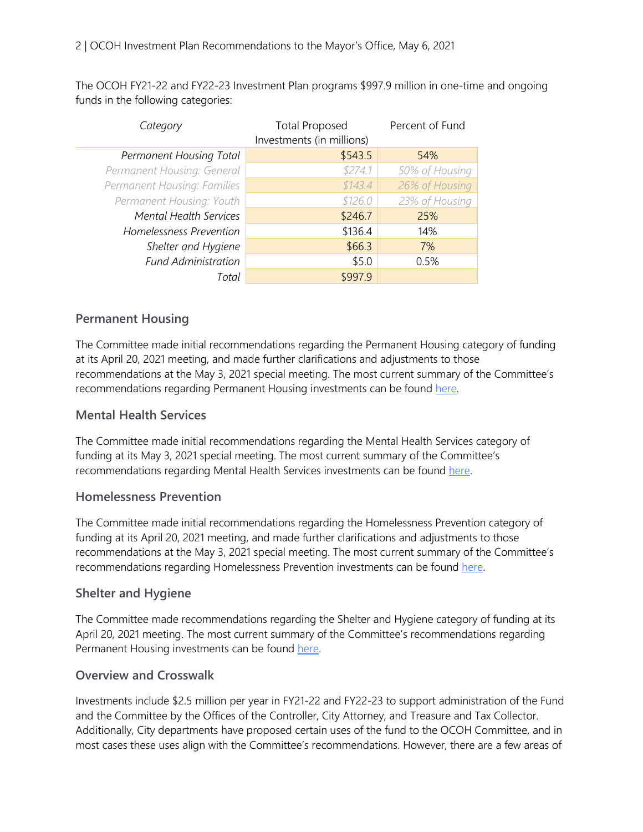The OCOH FY21-22 and FY22-23 Investment Plan programs \$997.9 million in one-time and ongoing funds in the following categories:

| Category                      | <b>Total Proposed</b>     | Percent of Fund |  |
|-------------------------------|---------------------------|-----------------|--|
|                               | Investments (in millions) |                 |  |
| Permanent Housing Total       | \$543.5                   | 54%             |  |
| Permanent Housing: General    | \$274.1                   | 50% of Housing  |  |
| Permanent Housing: Families   | \$143.4                   | 26% of Housing  |  |
| Permanent Housing: Youth      | \$126.0                   | 23% of Housing  |  |
| <b>Mental Health Services</b> | \$246.7                   | 25%             |  |
| Homelessness Prevention       | \$136.4                   | 14%             |  |
| Shelter and Hygiene           | \$66.3                    | 7%              |  |
| <b>Fund Administration</b>    | \$5.0                     | 0.5%            |  |
| Total                         | \$997.9                   |                 |  |

## **Permanent Housing**

The Committee made initial recommendations regarding the Permanent Housing category of funding at its April 20, 2021 meeting, and made further clarifications and adjustments to those recommendations at the May 3, 2021 special meeting. The most current summary of the Committee's recommendations regarding Permanent Housing investments can be found [here.](https://sfcontroller.org/sites/default/files/Our%20City%2C%20Our%20Home/OCOH%20Permanent%20Housing%20Recs%20Approved%204.20.21%20-%20Updated%205.3.21.xlsx)

### **Mental Health Services**

The Committee made initial recommendations regarding the Mental Health Services category of funding at its May 3, 2021 special meeting. The most current summary of the Committee's recommendations regarding Mental Health Services investments can be found [here.](https://sfcontroller.org/sites/default/files/Our%20City%2C%20Our%20Home/OCOH%20Behavioral%20Health%20Recommendations%20Approved%205.3.21.xlsx)

#### **Homelessness Prevention**

The Committee made initial recommendations regarding the Homelessness Prevention category of funding at its April 20, 2021 meeting, and made further clarifications and adjustments to those recommendations at the May 3, 2021 special meeting. The most current summary of the Committee's recommendations regarding Homelessness Prevention investments can be found [here.](https://sfcontroller.org/sites/default/files/Our%20City%2C%20Our%20Home/OCOH%20Prevention%20Recs%20Approved%204.20.21%20-%20Updated%205.3.21.xlsx)

## **Shelter and Hygiene**

The Committee made recommendations regarding the Shelter and Hygiene category of funding at its April 20, 2021 meeting. The most current summary of the Committee's recommendations regarding Permanent Housing investments can be found [here.](https://sfcontroller.org/sites/default/files/Our%20City%2C%20Our%20Home/OCOH%20Shelter%20and%20Hygiene%20Recommendations%20Approved%204.20.21.xlsx) 

## **Overview and Crosswalk**

Investments include \$2.5 million per year in FY21-22 and FY22-23 to support administration of the Fund and the Committee by the Offices of the Controller, City Attorney, and Treasure and Tax Collector. Additionally, City departments have proposed certain uses of the fund to the OCOH Committee, and in most cases these uses align with the Committee's recommendations. However, there are a few areas of